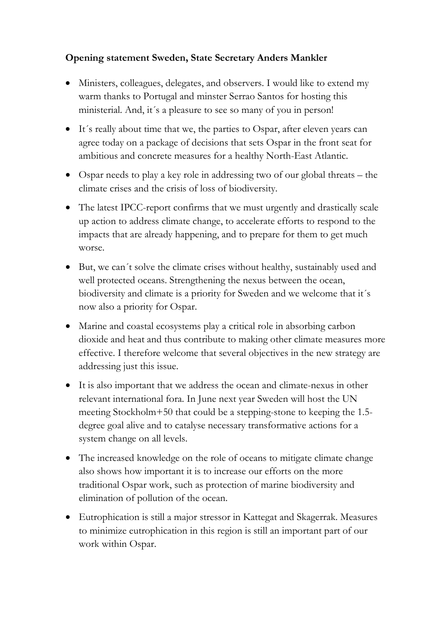## **Opening statement Sweden, State Secretary Anders Mankler**

- Ministers, colleagues, delegates, and observers. I would like to extend my warm thanks to Portugal and minster Serrao Santos for hosting this ministerial. And, it's a pleasure to see so many of you in person!
- It's really about time that we, the parties to Ospar, after eleven years can agree today on a package of decisions that sets Ospar in the front seat for ambitious and concrete measures for a healthy North-East Atlantic.
- Ospar needs to play a key role in addressing two of our global threats the climate crises and the crisis of loss of biodiversity.
- The latest IPCC-report confirms that we must urgently and drastically scale up action to address climate change, to accelerate efforts to respond to the impacts that are already happening, and to prepare for them to get much worse.
- But, we can´t solve the climate crises without healthy, sustainably used and well protected oceans. Strengthening the nexus between the ocean, biodiversity and climate is a priority for Sweden and we welcome that it´s now also a priority for Ospar.
- Marine and coastal ecosystems play a critical role in absorbing carbon dioxide and heat and thus contribute to making other climate measures more effective. I therefore welcome that several objectives in the new strategy are addressing just this issue.
- It is also important that we address the ocean and climate-nexus in other relevant international fora. In June next year Sweden will host the UN meeting Stockholm+50 that could be a stepping-stone to keeping the 1.5 degree goal alive and to catalyse necessary transformative actions for a system change on all levels.
- The increased knowledge on the role of oceans to mitigate climate change also shows how important it is to increase our efforts on the more traditional Ospar work, such as protection of marine biodiversity and elimination of pollution of the ocean.
- Eutrophication is still a major stressor in Kattegat and Skagerrak. Measures to minimize eutrophication in this region is still an important part of our work within Ospar.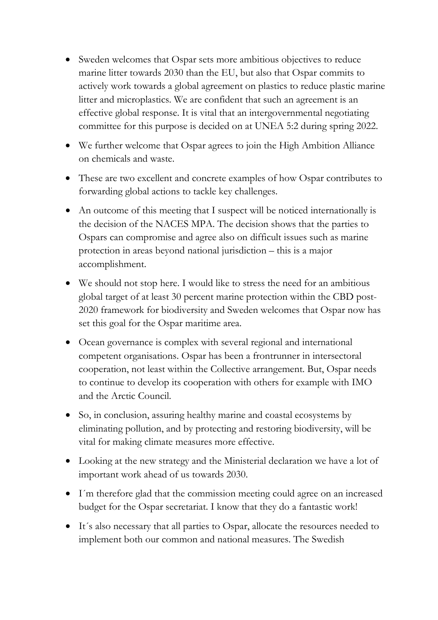- Sweden welcomes that Ospar sets more ambitious objectives to reduce marine litter towards 2030 than the EU, but also that Ospar commits to actively work towards a global agreement on plastics to reduce plastic marine litter and microplastics. We are confident that such an agreement is an effective global response. It is vital that an intergovernmental negotiating committee for this purpose is decided on at UNEA 5:2 during spring 2022.
- We further welcome that Ospar agrees to join the High Ambition Alliance on chemicals and waste.
- These are two excellent and concrete examples of how Ospar contributes to forwarding global actions to tackle key challenges.
- An outcome of this meeting that I suspect will be noticed internationally is the decision of the NACES MPA. The decision shows that the parties to Ospars can compromise and agree also on difficult issues such as marine protection in areas beyond national jurisdiction – this is a major accomplishment.
- We should not stop here. I would like to stress the need for an ambitious global target of at least 30 percent marine protection within the CBD post-2020 framework for biodiversity and Sweden welcomes that Ospar now has set this goal for the Ospar maritime area.
- Ocean governance is complex with several regional and international competent organisations. Ospar has been a frontrunner in intersectoral cooperation, not least within the Collective arrangement. But, Ospar needs to continue to develop its cooperation with others for example with IMO and the Arctic Council.
- So, in conclusion, assuring healthy marine and coastal ecosystems by eliminating pollution, and by protecting and restoring biodiversity, will be vital for making climate measures more effective.
- Looking at the new strategy and the Ministerial declaration we have a lot of important work ahead of us towards 2030.
- I´m therefore glad that the commission meeting could agree on an increased budget for the Ospar secretariat. I know that they do a fantastic work!
- It's also necessary that all parties to Ospar, allocate the resources needed to implement both our common and national measures. The Swedish